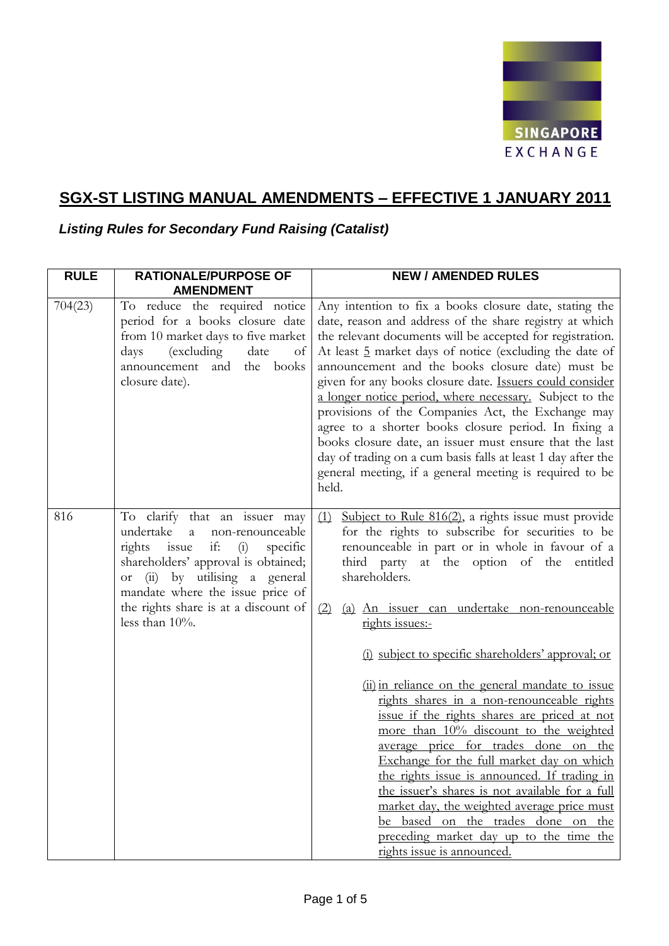

# **SGX-ST LISTING MANUAL AMENDMENTS – EFFECTIVE 1 JANUARY 2011**

*Listing Rules for Secondary Fund Raising (Catalist)*

| <b>RULE</b> | <b>RATIONALE/PURPOSE OF</b><br><b>AMENDMENT</b>                                                                                                                                                                                                                                                     | <b>NEW / AMENDED RULES</b>                                                                                                                                                                                                                                                                                                                                                                                                                                                                                                                                                                                                                                                                                                                                                                                                                                                                                              |
|-------------|-----------------------------------------------------------------------------------------------------------------------------------------------------------------------------------------------------------------------------------------------------------------------------------------------------|-------------------------------------------------------------------------------------------------------------------------------------------------------------------------------------------------------------------------------------------------------------------------------------------------------------------------------------------------------------------------------------------------------------------------------------------------------------------------------------------------------------------------------------------------------------------------------------------------------------------------------------------------------------------------------------------------------------------------------------------------------------------------------------------------------------------------------------------------------------------------------------------------------------------------|
| 704(23)     | To reduce the required notice<br>period for a books closure date<br>from 10 market days to five market<br>(excluding<br>date<br>days<br>of<br>announcement and<br>books<br>the<br>closure date).                                                                                                    | Any intention to fix a books closure date, stating the<br>date, reason and address of the share registry at which<br>the relevant documents will be accepted for registration.<br>At least 5 market days of notice (excluding the date of<br>announcement and the books closure date) must be<br>given for any books closure date. <b>Issuers could consider</b><br>a longer notice period, where necessary. Subject to the<br>provisions of the Companies Act, the Exchange may<br>agree to a shorter books closure period. In fixing a<br>books closure date, an issuer must ensure that the last<br>day of trading on a cum basis falls at least 1 day after the<br>general meeting, if a general meeting is required to be<br>held.                                                                                                                                                                                 |
| 816         | To clarify that an issuer may<br>undertake<br>a<br>non-renounceable<br>if:<br>rights issue<br>(i)<br>specific<br>shareholders' approval is obtained;<br>by utilising a general<br>(ii)<br>$\hbox{or}$<br>mandate where the issue price of<br>the rights share is at a discount of<br>less than 10%. | Subject to Rule $816(2)$ , a rights issue must provide<br>(1)<br>for the rights to subscribe for securities to be<br>renounceable in part or in whole in favour of a<br>third party at the option of the<br>entitled<br>shareholders.<br>(a) An issuer can undertake non-renounceable<br>(2)<br>rights issues:-<br>(i) subject to specific shareholders' approval; or<br>(ii) in reliance on the general mandate to issue<br>rights shares in a non-renounceable rights<br>issue if the rights shares are priced at not<br>more than 10% discount to the weighted<br>average price for trades done on the<br>Exchange for the full market day on which<br>the rights issue is announced. If trading in<br>the issuer's shares is not available for a full<br>market day, the weighted average price must<br>be based on the trades done on the<br>preceding market day up to the time the<br>rights issue is announced. |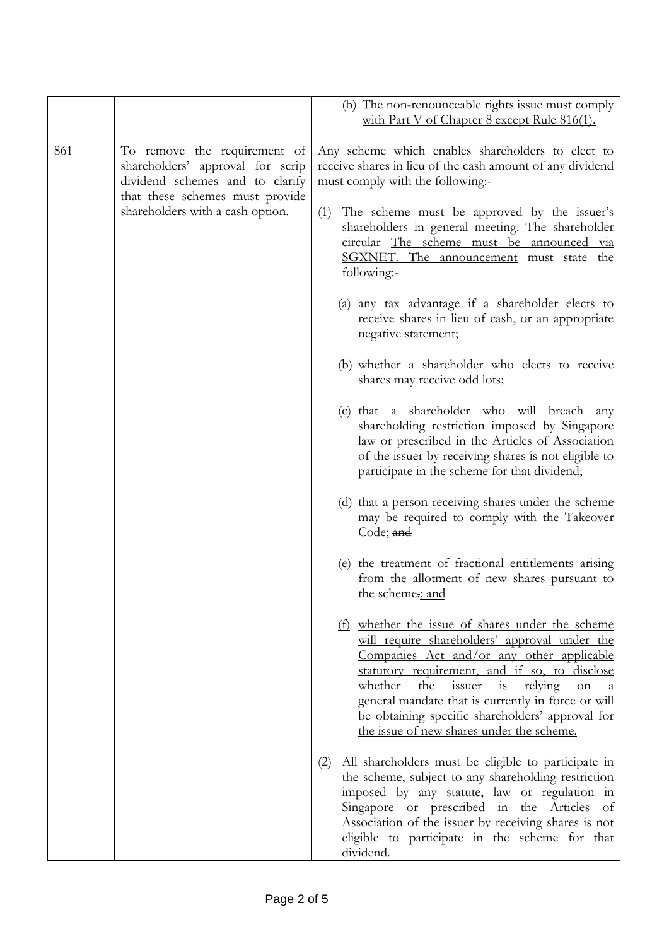|     |                                                                                                                                                                            | (b) The non-renounceable rights issue must comply                                                                                                                                                                                                                                                                                                                                                |
|-----|----------------------------------------------------------------------------------------------------------------------------------------------------------------------------|--------------------------------------------------------------------------------------------------------------------------------------------------------------------------------------------------------------------------------------------------------------------------------------------------------------------------------------------------------------------------------------------------|
|     |                                                                                                                                                                            | with Part V of Chapter 8 except Rule 816(1).                                                                                                                                                                                                                                                                                                                                                     |
| 861 | To remove the requirement of<br>shareholders' approval for scrip<br>dividend schemes and to clarify<br>that these schemes must provide<br>shareholders with a cash option. | Any scheme which enables shareholders to elect to<br>receive shares in lieu of the cash amount of any dividend<br>must comply with the following:-<br>The scheme must be approved by the issuer's<br>(1)<br>shareholders in general meeting. The shareholder<br>eircular-The scheme must be announced via<br>SGXNET. The announcement must state the<br>following:-                              |
|     |                                                                                                                                                                            | (a) any tax advantage if a shareholder elects to<br>receive shares in lieu of cash, or an appropriate<br>negative statement;                                                                                                                                                                                                                                                                     |
|     |                                                                                                                                                                            | (b) whether a shareholder who elects to receive<br>shares may receive odd lots;                                                                                                                                                                                                                                                                                                                  |
|     |                                                                                                                                                                            | (c) that a shareholder who will breach any<br>shareholding restriction imposed by Singapore<br>law or prescribed in the Articles of Association<br>of the issuer by receiving shares is not eligible to<br>participate in the scheme for that dividend;                                                                                                                                          |
|     |                                                                                                                                                                            | (d) that a person receiving shares under the scheme<br>may be required to comply with the Takeover<br>Code; and                                                                                                                                                                                                                                                                                  |
|     |                                                                                                                                                                            | (e) the treatment of fractional entitlements arising<br>from the allotment of new shares pursuant to<br>the scheme.; and                                                                                                                                                                                                                                                                         |
|     |                                                                                                                                                                            | whether the issue of shares under the scheme<br>(f)<br>will require shareholders' approval under the<br>Companies Act and/or any other applicable<br>statutory requirement, and if so, to disclose<br>whether the issuer is relying<br>on<br>general mandate that is currently in force or will<br>be obtaining specific shareholders' approval for<br>the issue of new shares under the scheme. |
|     |                                                                                                                                                                            | All shareholders must be eligible to participate in<br>(2)<br>the scheme, subject to any shareholding restriction<br>imposed by any statute, law or regulation in<br>Singapore or prescribed in the Articles of<br>Association of the issuer by receiving shares is not<br>eligible to participate in the scheme for that<br>dividend.                                                           |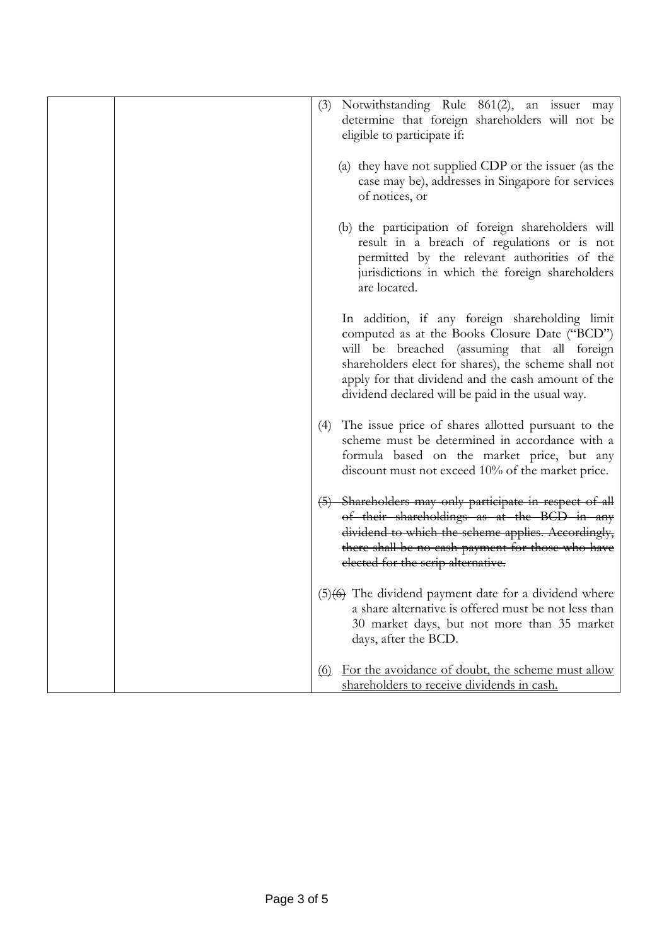| Notwithstanding Rule 861(2), an issuer may<br>(3)<br>determine that foreign shareholders will not be<br>eligible to participate if:                                                                                                                                                                              |
|------------------------------------------------------------------------------------------------------------------------------------------------------------------------------------------------------------------------------------------------------------------------------------------------------------------|
| (a) they have not supplied CDP or the issuer (as the<br>case may be), addresses in Singapore for services<br>of notices, or                                                                                                                                                                                      |
| (b) the participation of foreign shareholders will<br>result in a breach of regulations or is not<br>permitted by the relevant authorities of the<br>jurisdictions in which the foreign shareholders<br>are located.                                                                                             |
| In addition, if any foreign shareholding limit<br>computed as at the Books Closure Date ("BCD")<br>will be breached (assuming that all foreign<br>shareholders elect for shares), the scheme shall not<br>apply for that dividend and the cash amount of the<br>dividend declared will be paid in the usual way. |
| The issue price of shares allotted pursuant to the<br>(4)<br>scheme must be determined in accordance with a<br>formula based on the market price, but any<br>discount must not exceed 10% of the market price.                                                                                                   |
| (5) Shareholders may only participate in respect of all<br>of their shareholdings as at the BCD in any<br>dividend to which the scheme applies. Accordingly,<br>there shall be no cash payment for those who have<br>elected for the scrip alternative.                                                          |
| $(5)(6)$ The dividend payment date for a dividend where<br>a share alternative is offered must be not less than<br>30 market days, but not more than 35 market<br>days, after the BCD.                                                                                                                           |
| For the avoidance of doubt, the scheme must allow<br>(6)<br>shareholders to receive dividends in cash.                                                                                                                                                                                                           |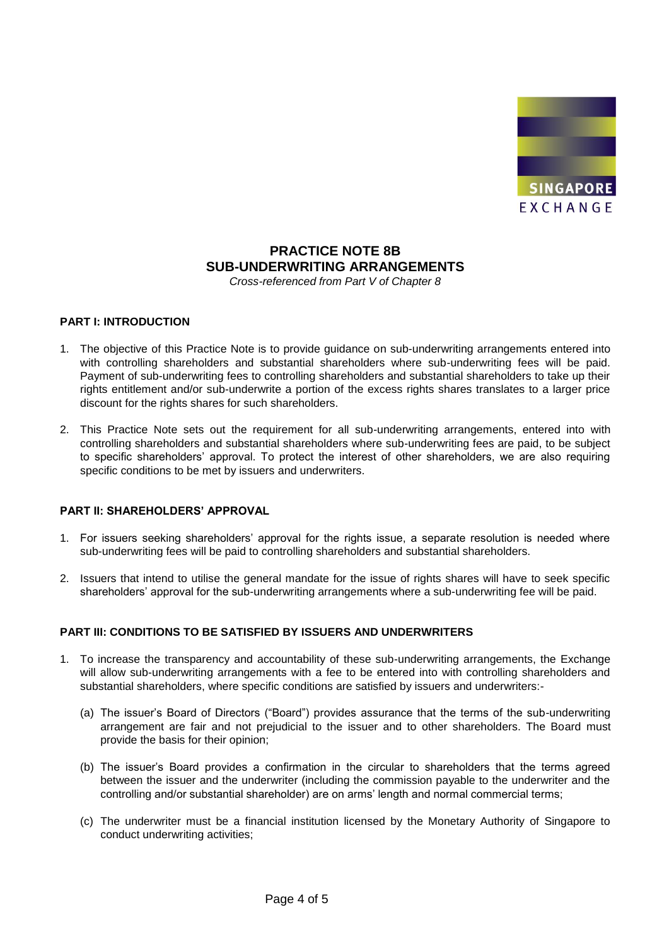

## **PRACTICE NOTE 8B SUB-UNDERWRITING ARRANGEMENTS**

*Cross-referenced from Part V of Chapter 8*

### **PART I: INTRODUCTION**

- 1. The objective of this Practice Note is to provide guidance on sub-underwriting arrangements entered into with controlling shareholders and substantial shareholders where sub-underwriting fees will be paid. Payment of sub-underwriting fees to controlling shareholders and substantial shareholders to take up their rights entitlement and/or sub-underwrite a portion of the excess rights shares translates to a larger price discount for the rights shares for such shareholders.
- 2. This Practice Note sets out the requirement for all sub-underwriting arrangements, entered into with controlling shareholders and substantial shareholders where sub-underwriting fees are paid, to be subject to specific shareholders' approval. To protect the interest of other shareholders, we are also requiring specific conditions to be met by issuers and underwriters.

#### **PART II: SHAREHOLDERS' APPROVAL**

- 1. For issuers seeking shareholders' approval for the rights issue, a separate resolution is needed where sub-underwriting fees will be paid to controlling shareholders and substantial shareholders.
- 2. Issuers that intend to utilise the general mandate for the issue of rights shares will have to seek specific shareholders' approval for the sub-underwriting arrangements where a sub-underwriting fee will be paid.

### **PART III: CONDITIONS TO BE SATISFIED BY ISSUERS AND UNDERWRITERS**

- 1. To increase the transparency and accountability of these sub-underwriting arrangements, the Exchange will allow sub-underwriting arrangements with a fee to be entered into with controlling shareholders and substantial shareholders, where specific conditions are satisfied by issuers and underwriters:-
	- (a) The issuer's Board of Directors ("Board") provides assurance that the terms of the sub-underwriting arrangement are fair and not prejudicial to the issuer and to other shareholders. The Board must provide the basis for their opinion;
	- (b) The issuer's Board provides a confirmation in the circular to shareholders that the terms agreed between the issuer and the underwriter (including the commission payable to the underwriter and the controlling and/or substantial shareholder) are on arms' length and normal commercial terms;
	- (c) The underwriter must be a financial institution licensed by the Monetary Authority of Singapore to conduct underwriting activities;